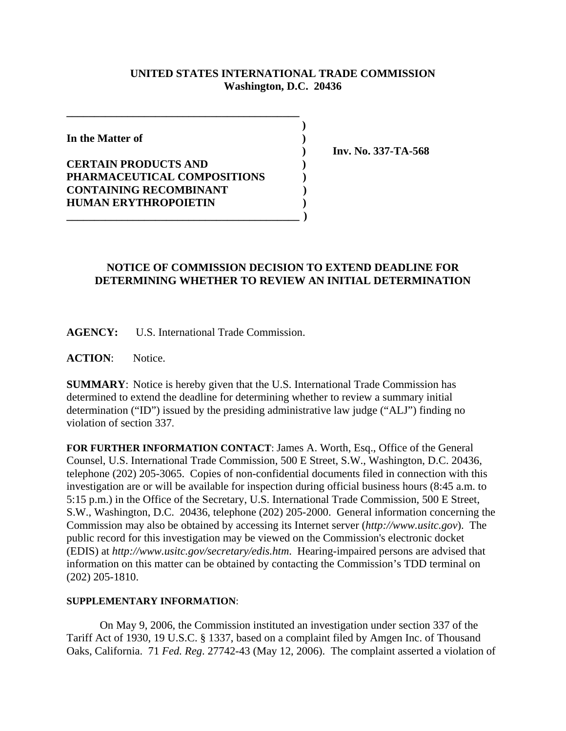## **UNITED STATES INTERNATIONAL TRADE COMMISSION Washington, D.C. 20436**

 **)**

**In the Matter of )**

**CERTAIN PRODUCTS AND ) PHARMACEUTICAL COMPOSITIONS ) CONTAINING RECOMBINANT ) HUMAN ERYTHROPOIETIN )**

**\_\_\_\_\_\_\_\_\_\_\_\_\_\_\_\_\_\_\_\_\_\_\_\_\_\_\_\_\_\_\_\_\_\_\_\_\_\_\_\_\_\_**

 **) Inv. No. 337-TA-568**

## **NOTICE OF COMMISSION DECISION TO EXTEND DEADLINE FOR DETERMINING WHETHER TO REVIEW AN INITIAL DETERMINATION**

**AGENCY:** U.S. International Trade Commission.

**\_\_\_\_\_\_\_\_\_\_\_\_\_\_\_\_\_\_\_\_\_\_\_\_\_\_\_\_\_\_\_\_\_\_\_\_\_\_\_\_\_\_ )**

**ACTION**: Notice.

**SUMMARY**: Notice is hereby given that the U.S. International Trade Commission has determined to extend the deadline for determining whether to review a summary initial determination ("ID") issued by the presiding administrative law judge ("ALJ") finding no violation of section 337.

**FOR FURTHER INFORMATION CONTACT**: James A. Worth, Esq., Office of the General Counsel, U.S. International Trade Commission, 500 E Street, S.W., Washington, D.C. 20436, telephone (202) 205-3065. Copies of non-confidential documents filed in connection with this investigation are or will be available for inspection during official business hours (8:45 a.m. to 5:15 p.m.) in the Office of the Secretary, U.S. International Trade Commission, 500 E Street, S.W., Washington, D.C. 20436, telephone (202) 205-2000. General information concerning the Commission may also be obtained by accessing its Internet server (*http://www.usitc.gov*). The public record for this investigation may be viewed on the Commission's electronic docket (EDIS) at *http://www.usitc.gov/secretary/edis.htm*. Hearing-impaired persons are advised that information on this matter can be obtained by contacting the Commission's TDD terminal on (202) 205-1810.

## **SUPPLEMENTARY INFORMATION**:

On May 9, 2006, the Commission instituted an investigation under section 337 of the Tariff Act of 1930, 19 U.S.C. § 1337, based on a complaint filed by Amgen Inc. of Thousand Oaks, California. 71 *Fed. Reg*. 27742-43 (May 12, 2006). The complaint asserted a violation of